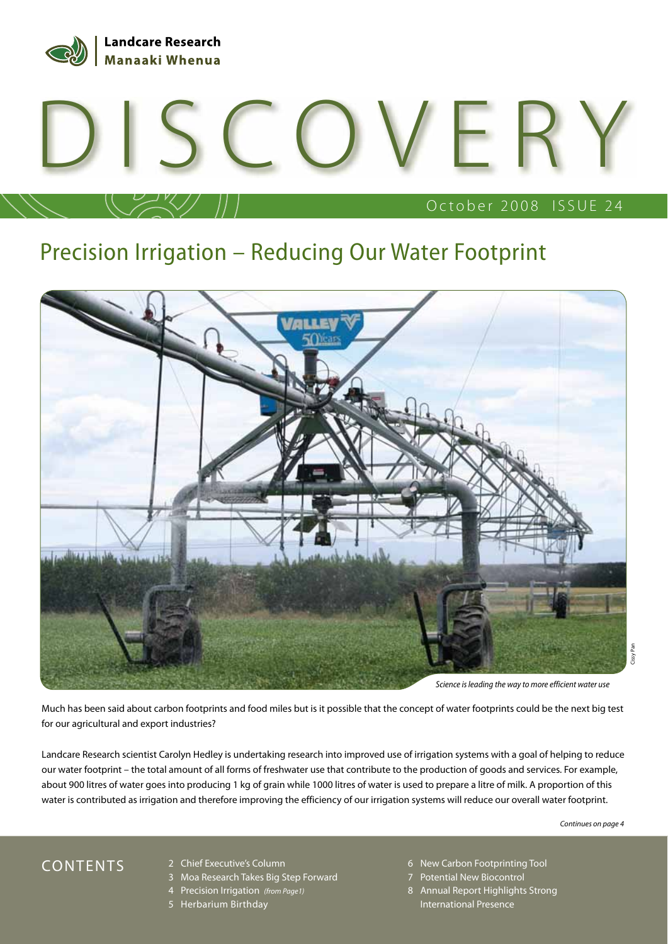

# October 2008 ISSUE 24 DISCOVERY

# Precision Irrigation – Reducing Our Water Footprint



Much has been said about carbon footprints and food miles but is it possible that the concept of water footprints could be the next big test for our agricultural and export industries?

Landcare Research scientist Carolyn Hedley is undertaking research into improved use of irrigation systems with a goal of helping to reduce our water footprint – the total amount of all forms of freshwater use that contribute to the production of goods and services. For example, about 900 litres of water goes into producing 1 kg of grain while 1000 litres of water is used to prepare a litre of milk. A proportion of this water is contributed as irrigation and therefore improving the efficiency of our irrigation systems will reduce our overall water footprint.

*Continues on page 4*

- 2 Chief Executive's Column
- 3 Moa Research Takes Big Step Forward
- 4 Precision Irrigation *(from Page1)*
- 5 Herbarium Birthday
- CONTENTS 2 Chief Executive's Column 6 New Carbon Footprinting Tool
	- 7 Potential New Biocontrol
	- 8 Annual Report Highlights Strong International Presence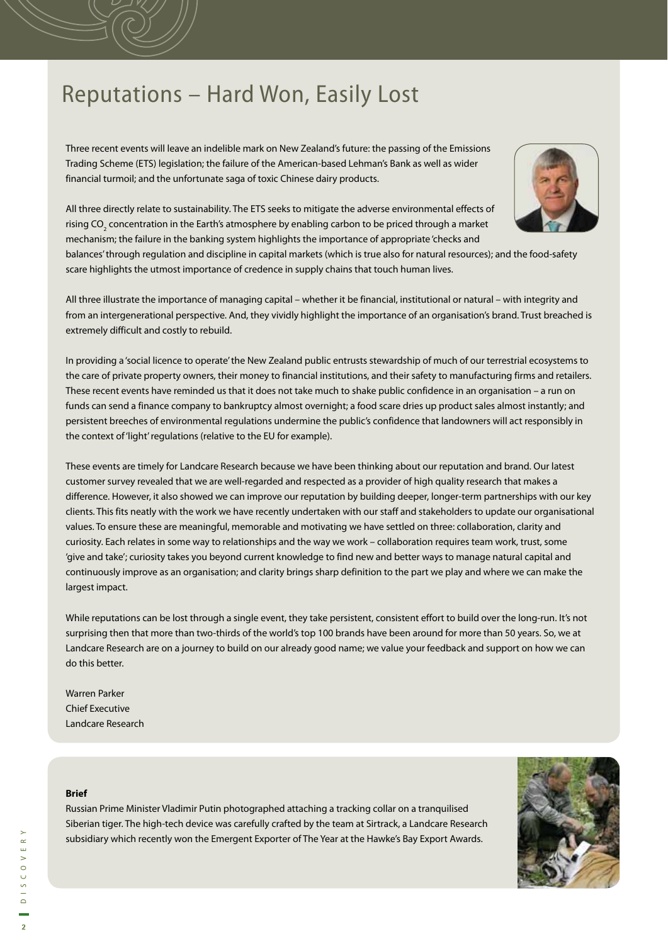#### Reputations – Hard Won, Easily Lost

Three recent events will leave an indelible mark on New Zealand's future: the passing of the Emissions Trading Scheme (ETS) legislation; the failure of the American-based Lehman's Bank as well as wider financial turmoil; and the unfortunate saga of toxic Chinese dairy products.



All three directly relate to sustainability. The ETS seeks to mitigate the adverse environmental effects of rising CO $_{_2}$  concentration in the Earth's atmosphere by enabling carbon to be priced through a market mechanism; the failure in the banking system highlights the importance of appropriate 'checks and

balances' through regulation and discipline in capital markets (which is true also for natural resources); and the food-safety scare highlights the utmost importance of credence in supply chains that touch human lives.

All three illustrate the importance of managing capital – whether it be financial, institutional or natural – with integrity and from an intergenerational perspective. And, they vividly highlight the importance of an organisation's brand. Trust breached is extremely difficult and costly to rebuild.

In providing a 'social licence to operate' the New Zealand public entrusts stewardship of much of our terrestrial ecosystems to the care of private property owners, their money to financial institutions, and their safety to manufacturing firms and retailers. These recent events have reminded us that it does not take much to shake public confidence in an organisation – a run on funds can send a finance company to bankruptcy almost overnight; a food scare dries up product sales almost instantly; and persistent breeches of environmental regulations undermine the public's confidence that landowners will act responsibly in the context of 'light' regulations (relative to the EU for example).

These events are timely for Landcare Research because we have been thinking about our reputation and brand. Our latest customer survey revealed that we are well-regarded and respected as a provider of high quality research that makes a difference. However, it also showed we can improve our reputation by building deeper, longer-term partnerships with our key clients. This fits neatly with the work we have recently undertaken with our staff and stakeholders to update our organisational values. To ensure these are meaningful, memorable and motivating we have settled on three: collaboration, clarity and curiosity. Each relates in some way to relationships and the way we work – collaboration requires team work, trust, some 'give and take'; curiosity takes you beyond current knowledge to find new and better ways to manage natural capital and continuously improve as an organisation; and clarity brings sharp definition to the part we play and where we can make the largest impact.

While reputations can be lost through a single event, they take persistent, consistent effort to build over the long-run. It's not surprising then that more than two-thirds of the world's top 100 brands have been around for more than 50 years. So, we at Landcare Research are on a journey to build on our already good name; we value your feedback and support on how we can do this better.

Warren Parker Chief Executive Landcare Research

#### **Brief**

Russian Prime Minister Vladimir Putin photographed attaching a tracking collar on a tranquilised Siberian tiger. The high-tech device was carefully crafted by the team at Sirtrack, a Landcare Research subsidiary which recently won the Emergent Exporter of The Year at the Hawke's Bay Export Awards.

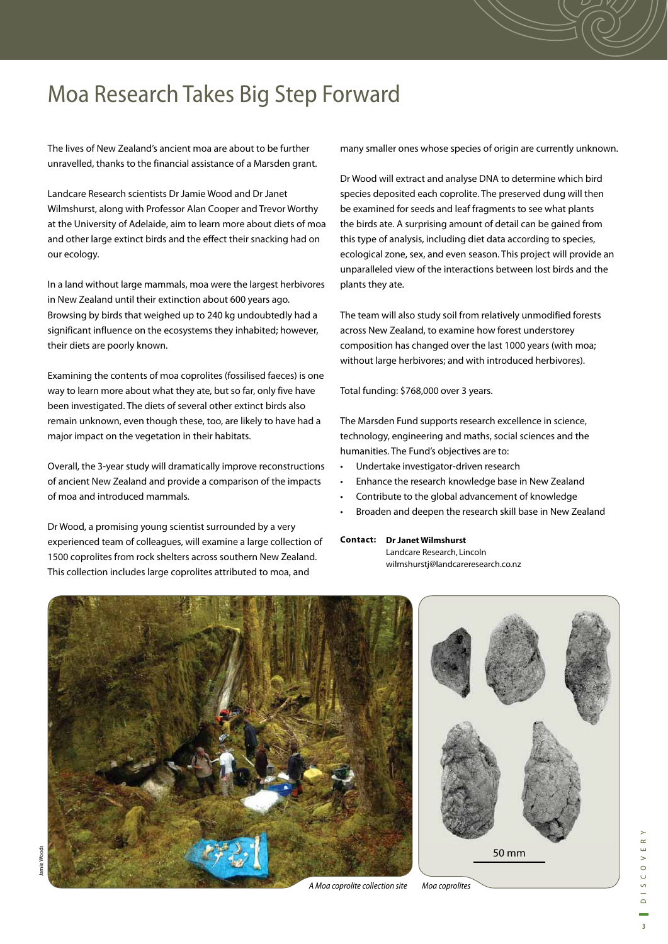# Moa Research Takes Big Step Forward

The lives of New Zealand's ancient moa are about to be further unravelled, thanks to the financial assistance of a Marsden grant.

Landcare Research scientists Dr Jamie Wood and Dr Janet Wilmshurst, along with Professor Alan Cooper and Trevor Worthy at the University of Adelaide, aim to learn more about diets of moa and other large extinct birds and the effect their snacking had on our ecology.

In a land without large mammals, moa were the largest herbivores in New Zealand until their extinction about 600 years ago. Browsing by birds that weighed up to 240 kg undoubtedly had a significant influence on the ecosystems they inhabited; however, their diets are poorly known.

Examining the contents of moa coprolites (fossilised faeces) is one way to learn more about what they ate, but so far, only five have been investigated. The diets of several other extinct birds also remain unknown, even though these, too, are likely to have had a major impact on the vegetation in their habitats.

Overall, the 3-year study will dramatically improve reconstructions of ancient New Zealand and provide a comparison of the impacts of moa and introduced mammals.

Dr Wood, a promising young scientist surrounded by a very experienced team of colleagues, will examine a large collection of 1500 coprolites from rock shelters across southern New Zealand. This collection includes large coprolites attributed to moa, and

many smaller ones whose species of origin are currently unknown.

Dr Wood will extract and analyse DNA to determine which bird species deposited each coprolite. The preserved dung will then be examined for seeds and leaf fragments to see what plants the birds ate. A surprising amount of detail can be gained from this type of analysis, including diet data according to species, ecological zone, sex, and even season. This project will provide an unparalleled view of the interactions between lost birds and the plants they ate.

The team will also study soil from relatively unmodified forests across New Zealand, to examine how forest understorey composition has changed over the last 1000 years (with moa; without large herbivores; and with introduced herbivores).

Total funding: \$768,000 over 3 years.

The Marsden Fund supports research excellence in science, technology, engineering and maths, social sciences and the humanities. The Fund's objectives are to:

- Undertake investigator-driven research
- Enhance the research knowledge base in New Zealand
- Contribute to the global advancement of knowledge
- Broaden and deepen the research skill base in New Zealand

#### **Dr Janet Wilmshurst Contact:**

Landcare Research, Lincoln wilmshurstj@landcareresearch.co.nz





*A Moa coprolite collection site Moa coprolites*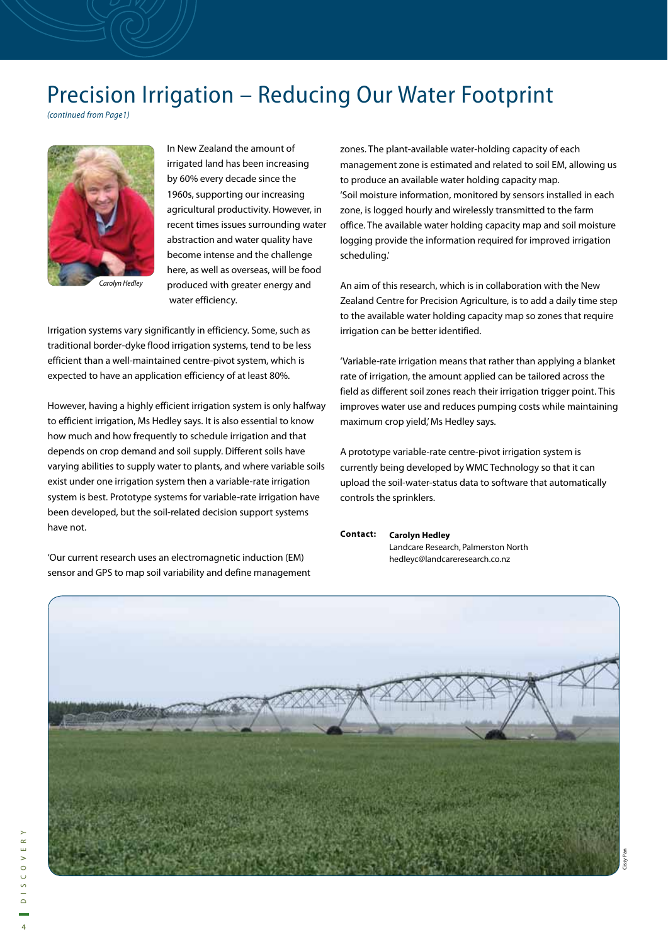#### Precision Irrigation – Reducing Our Water Footprint

*(continued from Page1)*



*Carolyn Hedley*

In New Zealand the amount of irrigated land has been increasing by 60% every decade since the 1960s, supporting our increasing agricultural productivity. However, in recent times issues surrounding water abstraction and water quality have become intense and the challenge here, as well as overseas, will be food produced with greater energy and water efficiency.

Irrigation systems vary significantly in efficiency. Some, such as traditional border-dyke flood irrigation systems, tend to be less efficient than a well-maintained centre-pivot system, which is expected to have an application efficiency of at least 80%.

However, having a highly efficient irrigation system is only halfway to efficient irrigation, Ms Hedley says. It is also essential to know how much and how frequently to schedule irrigation and that depends on crop demand and soil supply. Different soils have varying abilities to supply water to plants, and where variable soils exist under one irrigation system then a variable-rate irrigation system is best. Prototype systems for variable-rate irrigation have been developed, but the soil-related decision support systems have not.

'Our current research uses an electromagnetic induction (EM) sensor and GPS to map soil variability and define management

zones. The plant-available water-holding capacity of each management zone is estimated and related to soil EM, allowing us to produce an available water holding capacity map. 'Soil moisture information, monitored by sensors installed in each zone, is logged hourly and wirelessly transmitted to the farm office. The available water holding capacity map and soil moisture logging provide the information required for improved irrigation scheduling.'

An aim of this research, which is in collaboration with the New Zealand Centre for Precision Agriculture, is to add a daily time step to the available water holding capacity map so zones that require irrigation can be better identified.

'Variable-rate irrigation means that rather than applying a blanket rate of irrigation, the amount applied can be tailored across the field as different soil zones reach their irrigation trigger point. This improves water use and reduces pumping costs while maintaining maximum crop yield,' Ms Hedley says.

A prototype variable-rate centre-pivot irrigation system is currently being developed by WMC Technology so that it can upload the soil-water-status data to software that automatically controls the sprinklers.

#### **Carolyn Hedley Contact:**

Landcare Research, Palmerston North hedleyc@landcareresearch.co.nz

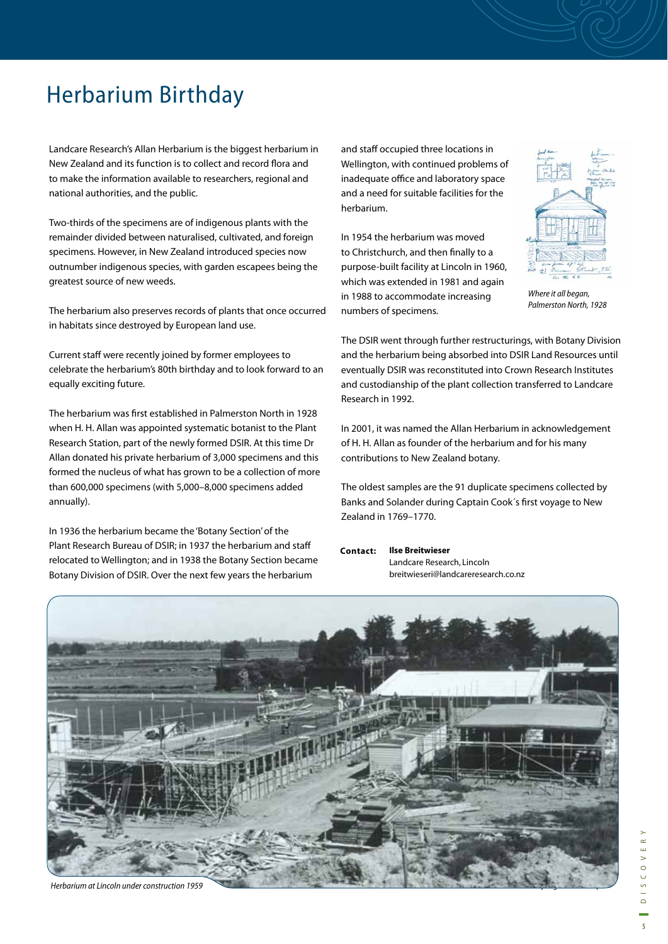# Herbarium Birthday

Landcare Research's Allan Herbarium is the biggest herbarium in New Zealand and its function is to collect and record flora and to make the information available to researchers, regional and national authorities, and the public.

Two-thirds of the specimens are of indigenous plants with the remainder divided between naturalised, cultivated, and foreign specimens. However, in New Zealand introduced species now outnumber indigenous species, with garden escapees being the greatest source of new weeds.

The herbarium also preserves records of plants that once occurred in habitats since destroyed by European land use.

Current staff were recently joined by former employees to celebrate the herbarium's 80th birthday and to look forward to an equally exciting future.

The herbarium was first established in Palmerston North in 1928 when H. H. Allan was appointed systematic botanist to the Plant Research Station, part of the newly formed DSIR. At this time Dr Allan donated his private herbarium of 3,000 specimens and this formed the nucleus of what has grown to be a collection of more than 600,000 specimens (with 5,000–8,000 specimens added annually).

In 1936 the herbarium became the 'Botany Section' of the Plant Research Bureau of DSIR; in 1937 the herbarium and staff relocated to Wellington; and in 1938 the Botany Section became Botany Division of DSIR. Over the next few years the herbarium

and staff occupied three locations in Wellington, with continued problems of inadequate office and laboratory space and a need for suitable facilities for the herbarium.

In 1954 the herbarium was moved to Christchurch, and then finally to a purpose-built facility at Lincoln in 1960, which was extended in 1981 and again in 1988 to accommodate increasing numbers of specimens.



*Where it all began, Palmerston North, 1928*

The DSIR went through further restructurings, with Botany Division and the herbarium being absorbed into DSIR Land Resources until eventually DSIR was reconstituted into Crown Research Institutes and custodianship of the plant collection transferred to Landcare Research in 1992.

In 2001, it was named the Allan Herbarium in acknowledgement of H. H. Allan as founder of the herbarium and for his many contributions to New Zealand botany.

The oldest samples are the 91 duplicate specimens collected by Banks and Solander during Captain Cook's first voyage to New Zealand in 1769–1770.

**Ilse Breitwieser** Landcare Research, Lincoln breitwieseri@landcareresearch.co.nz **Contact:** 

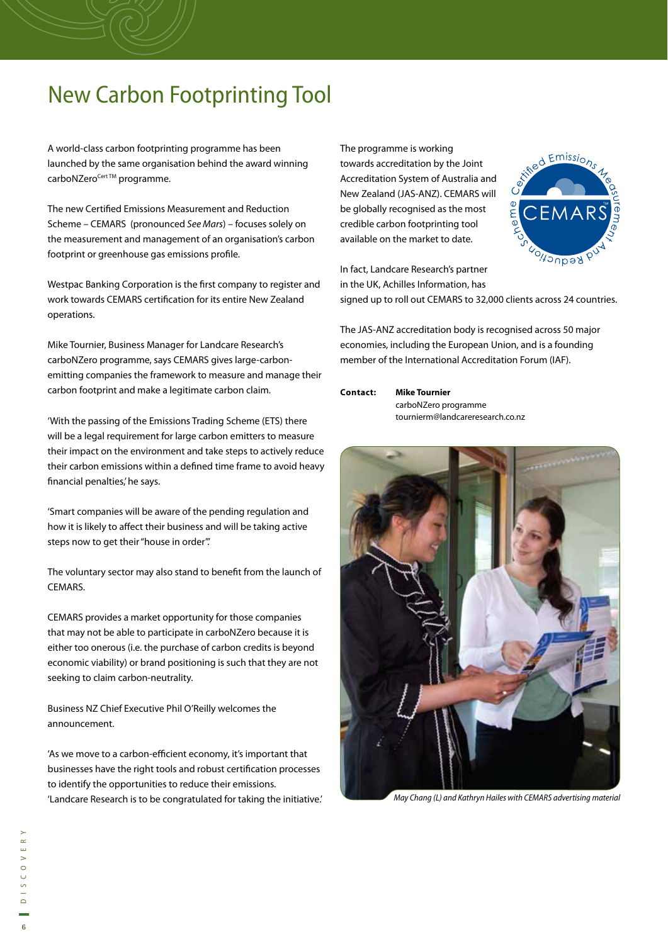# New Carbon Footprinting Tool

A world-class carbon footprinting programme has been launched by the same organisation behind the award winning carboNZero<sup>Cert ™</sup> programme.

The new Certified Emissions Measurement and Reduction Scheme – CEMARS (pronounced *See Mars*) – focuses solely on the measurement and management of an organisation's carbon footprint or greenhouse gas emissions profile.

Westpac Banking Corporation is the first company to register and work towards CEMARS certification for its entire New Zealand operations.

Mike Tournier, Business Manager for Landcare Research's carboNZero programme, says CEMARS gives large-carbonemitting companies the framework to measure and manage their carbon footprint and make a legitimate carbon claim.

'With the passing of the Emissions Trading Scheme (ETS) there will be a legal requirement for large carbon emitters to measure their impact on the environment and take steps to actively reduce their carbon emissions within a defined time frame to avoid heavy financial penalties,' he says.

'Smart companies will be aware of the pending regulation and how it is likely to affect their business and will be taking active steps now to get their "house in order".'

The voluntary sector may also stand to benefit from the launch of CEMARS.

CEMARS provides a market opportunity for those companies that may not be able to participate in carboNZero because it is either too onerous (i.e. the purchase of carbon credits is beyond economic viability) or brand positioning is such that they are not seeking to claim carbon-neutrality.

Business NZ Chief Executive Phil O'Reilly welcomes the announcement.

'As we move to a carbon-efficient economy, it's important that businesses have the right tools and robust certification processes to identify the opportunities to reduce their emissions. 'Landcare Research is to be congratulated for taking the initiative.' The programme is working towards accreditation by the Joint Accreditation System of Australia and New Zealand (JAS-ANZ). CEMARS will be globally recognised as the most credible carbon footprinting tool available on the market to date.



In fact, Landcare Research's partner in the UK, Achilles Information, has

signed up to roll out CEMARS to 32,000 clients across 24 countries.

The JAS-ANZ accreditation body is recognised across 50 major economies, including the European Union, and is a founding member of the International Accreditation Forum (IAF).

**Mike Tournier** carboNZero programme tournierm@landcareresearch.co.nz **Contact:** 



*May Chang (L) and Kathryn Hailes with CEMARS advertising material*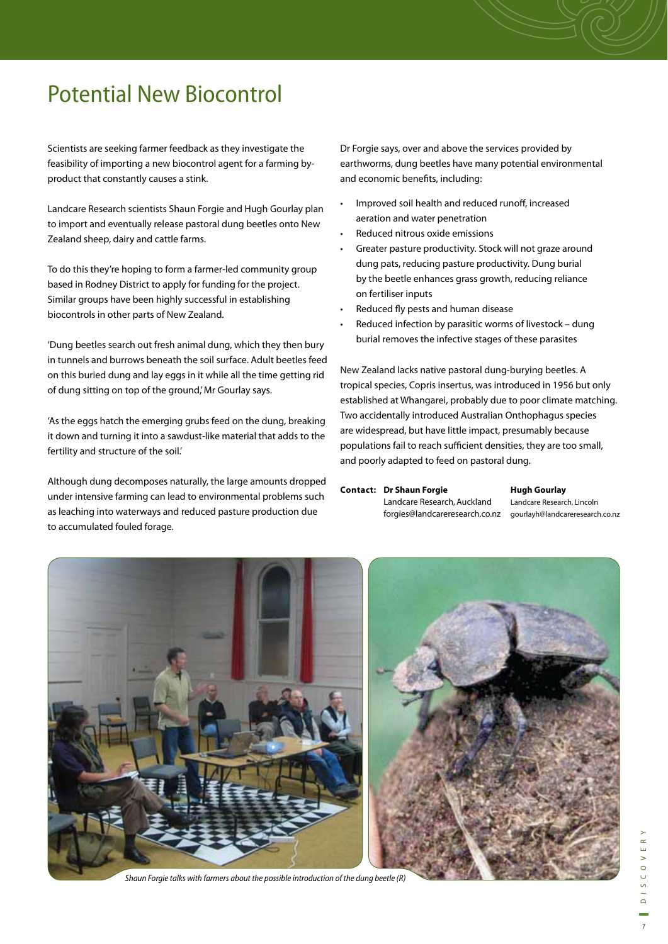# Potential New Biocontrol

Scientists are seeking farmer feedback as they investigate the feasibility of importing a new biocontrol agent for a farming byproduct that constantly causes a stink.

Landcare Research scientists Shaun Forgie and Hugh Gourlay plan to import and eventually release pastoral dung beetles onto New Zealand sheep, dairy and cattle farms.

To do this they're hoping to form a farmer-led community group based in Rodney District to apply for funding for the project. Similar groups have been highly successful in establishing biocontrols in other parts of New Zealand.

'Dung beetles search out fresh animal dung, which they then bury in tunnels and burrows beneath the soil surface. Adult beetles feed on this buried dung and lay eggs in it while all the time getting rid of dung sitting on top of the ground,' Mr Gourlay says.

'As the eggs hatch the emerging grubs feed on the dung, breaking it down and turning it into a sawdust-like material that adds to the fertility and structure of the soil.'

Although dung decomposes naturally, the large amounts dropped under intensive farming can lead to environmental problems such as leaching into waterways and reduced pasture production due to accumulated fouled forage.

Dr Forgie says, over and above the services provided by earthworms, dung beetles have many potential environmental and economic benefits, including:

- Improved soil health and reduced runoff, increased aeration and water penetration
- Reduced nitrous oxide emissions
- Greater pasture productivity. Stock will not graze around dung pats, reducing pasture productivity. Dung burial by the beetle enhances grass growth, reducing reliance on fertiliser inputs
- Reduced fly pests and human disease
- Reduced infection by parasitic worms of livestock dung burial removes the infective stages of these parasites

New Zealand lacks native pastoral dung-burying beetles. A tropical species, Copris insertus, was introduced in 1956 but only established at Whangarei, probably due to poor climate matching. Two accidentally introduced Australian Onthophagus species are widespread, but have little impact, presumably because populations fail to reach sufficient densities, they are too small, and poorly adapted to feed on pastoral dung.

#### **Dr Shaun Forgie Contact: Hugh Gourlay**

Landcare Research, Auckland forgies@landcareresearch.co.nz gourlayh@landcareresearch.co.nz

Landcare Research, Lincoln



*Shaun Forgie talks with farmers about the possible introduction of the dung beetle (R)*